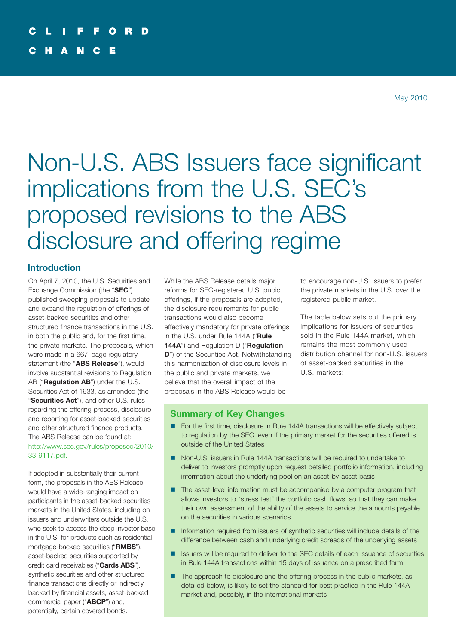# Non-U.S. ABS Issuers face significant implications from the U.S. SEC's proposed revisions to the ABS disclosure and offering regime

# **Introduction**

On April 7, 2010, the U.S. Securities and Exchange Commission (the "**SEC**") published sweeping proposals to update and expand the regulation of offerings of asset-backed securities and other structured finance transactions in the U.S. in both the public and, for the first time, the private markets. The proposals, which were made in a 667–page regulatory statement (the "**ABS Release**"), would involve substantial revisions to Regulation AB ("**Regulation AB**") under the U.S. Securities Act of 1933, as amended (the "**Securities Act**"), and other U.S. rules regarding the offering process, disclosure and reporting for asset-backed securities and other structured finance products. The ABS Release can be found at: [http://www.sec.gov/rules/proposed/2010/](http://www.sec.gov/rules/proposed/2010/33-9117.pdf) [33-9117.pdf.](http://www.sec.gov/rules/proposed/2010/33-9117.pdf)

If adopted in substantially their current form, the proposals in the ABS Release would have a wide-ranging impact on participants in the asset-backed securities markets in the United States, including on issuers and underwriters outside the U.S. who seek to access the deep investor base in the U.S. for products such as residential mortgage-backed securities ("**RMBS**"), asset-backed securities supported by credit card receivables ("**Cards ABS**"), synthetic securities and other structured finance transactions directly or indirectly backed by financial assets, asset-backed commercial paper ("**ABCP**") and, potentially, certain covered bonds.

While the ABS Release details major reforms for SEC-registered U.S. pubic offerings, if the proposals are adopted, the disclosure requirements for public transactions would also become effectively mandatory for private offerings in the U.S. under Rule 144A ("**Rule 144A**") and Regulation D ("**Regulation D**") of the Securities Act. Notwithstanding this harmonization of disclosure levels in the public and private markets, we believe that the overall impact of the proposals in the ABS Release would be

to encourage non-U.S. issuers to prefer the private markets in the U.S. over the registered public market.

The table below sets out the primary implications for issuers of securities sold in the Rule 144A market, which remains the most commonly used distribution channel for non-U.S. issuers of asset-backed securities in the U.S. markets:

# **Summary of Key Changes**

- For the first time, disclosure in Rule 144A transactions will be effectively subject to regulation by the SEC, even if the primary market for the securities offered is outside of the United States
- Non-U.S. issuers in Rule 144A transactions will be required to undertake to deliver to investors promptly upon request detailed portfolio information, including information about the underlying pool on an asset-by-asset basis
- The asset-level information must be accompanied by a computer program that allows investors to "stress test" the portfolio cash flows, so that they can make their own assessment of the ability of the assets to service the amounts payable on the securities in various scenarios
- **n** Information required from issuers of synthetic securities will include details of the difference between cash and underlying credit spreads of the underlying assets
- Issuers will be required to deliver to the SEC details of each issuance of securities in Rule 144A transactions within 15 days of issuance on a prescribed form
- The approach to disclosure and the offering process in the public markets, as detailed below, is likely to set the standard for best practice in the Rule 144A market and, possibly, in the international markets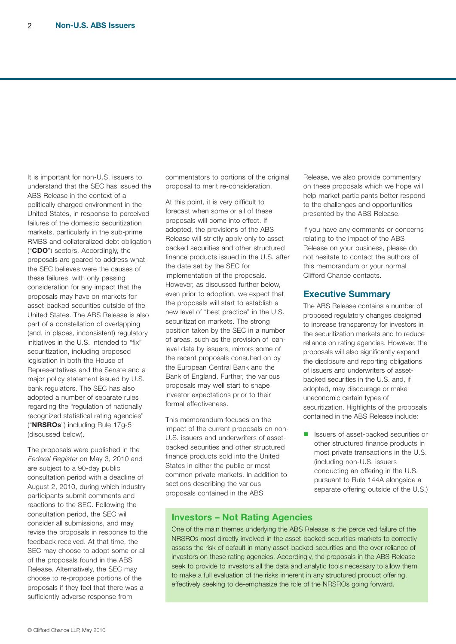It is important for non-U.S. issuers to understand that the SEC has issued the ABS Release in the context of a politically charged environment in the United States, in response to perceived failures of the domestic securitization markets, particularly in the sub-prime RMBS and collateralized debt obligation ("**CDO**") sectors. Accordingly, the proposals are geared to address what the SEC believes were the causes of these failures, with only passing consideration for any impact that the proposals may have on markets for asset-backed securities outside of the United States. The ABS Release is also part of a constellation of overlapping (and, in places, inconsistent) regulatory initiatives in the U.S. intended to "fix" securitization, including proposed legislation in both the House of Representatives and the Senate and a major policy statement issued by U.S. bank regulators. The SEC has also adopted a number of separate rules regarding the "regulation of nationally recognized statistical rating agencies" ("**NRSROs**") including Rule 17g-5 (discussed below).

The proposals were published in the Federal Register on May 3, 2010 and are subject to a 90-day public consultation period with a deadline of August 2, 2010, during which industry participants submit comments and reactions to the SEC. Following the consultation period, the SEC will consider all submissions, and may revise the proposals in response to the feedback received. At that time, the SEC may choose to adopt some or all of the proposals found in the ABS Release. Alternatively, the SEC may choose to re-propose portions of the proposals if they feel that there was a sufficiently adverse response from

commentators to portions of the original proposal to merit re-consideration.

At this point, it is very difficult to forecast when some or all of these proposals will come into effect. If adopted, the provisions of the ABS Release will strictly apply only to assetbacked securities and other structured finance products issued in the U.S. after the date set by the SEC for implementation of the proposals. However, as discussed further below, even prior to adoption, we expect that the proposals will start to establish a new level of "best practice" in the U.S. securitization markets. The strong position taken by the SEC in a number of areas, such as the provision of loanlevel data by issuers, mirrors some of the recent proposals consulted on by the European Central Bank and the Bank of England. Further, the various proposals may well start to shape investor expectations prior to their formal effectiveness.

This memorandum focuses on the impact of the current proposals on non-U.S. issuers and underwriters of assetbacked securities and other structured finance products sold into the United States in either the public or most common private markets. In addition to sections describing the various proposals contained in the ABS

Release, we also provide commentary on these proposals which we hope will help market participants better respond to the challenges and opportunities presented by the ABS Release.

If you have any comments or concerns relating to the impact of the ABS Release on your business, please do not hesitate to contact the authors of this memorandum or your normal Clifford Chance contacts.

# **Executive Summary**

The ABS Release contains a number of proposed regulatory changes designed to increase transparency for investors in the securitization markets and to reduce reliance on rating agencies. However, the proposals will also significantly expand the disclosure and reporting obligations of issuers and underwriters of assetbacked securities in the U.S. and, if adopted, may discourage or make uneconomic certain types of securitization. Highlights of the proposals contained in the ABS Release include:

**n** Issuers of asset-backed securities or other structured finance products in most private transactions in the U.S. (including non-U.S. issuers conducting an offering in the U.S. pursuant to Rule 144A alongside a separate offering outside of the U.S.)

## **Investors – Not Rating Agencies**

One of the main themes underlying the ABS Release is the perceived failure of the NRSROs most directly involved in the asset-backed securities markets to correctly assess the risk of default in many asset-backed securities and the over-reliance of investors on these rating agencies. Accordingly, the proposals in the ABS Release seek to provide to investors all the data and analytic tools necessary to allow them to make a full evaluation of the risks inherent in any structured product offering, effectively seeking to de-emphasize the role of the NRSROs going forward.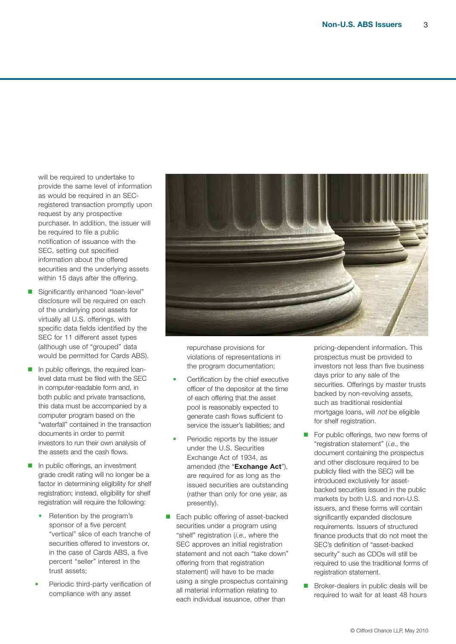will be required to undertake to provide the same level of information as would be required in an SECregistered transaction promptly upon request by any prospective purchaser. In addition, the issuer will be required to file a public notification of issuance with the SEC, setting out specified information about the offered securities and the underlying assets within 15 days after the offering.

- Significantly enhanced "loan-level" disclosure will be required on each of the underlying pool assets for virtually all U.S. offerings, with specific data fields identified by the SEC for 11 different asset types (although use of "grouped" data would be permitted for Cards ABS).
- In public offerings, the required loanlevel data must be filed with the SEC in computer-readable form and, in both public and private transactions, this data must be accompanied by a computer program based on the "waterfall" contained in the transaction documents in order to permit investors to run their own analysis of the assets and the cash flows.
- $\blacksquare$  In public offerings, an investment grade credit rating will no longer be a factor in determining eligibility for shelf registration; instead, eligibility for shelf registration will require the following:
	- Retention by the program's sponsor of a five percent "vertical" slice of each tranche of securities offered to investors or, in the case of Cards ABS, a five percent "seller" interest in the trust assets;
	- Periodic third-party verification of compliance with any asset



repurchase provisions for violations of representations in the program documentation;

- Certification by the chief executive officer of the depositor at the time of each offering that the asset pool is reasonably expected to generate cash flows sufficient to service the issuer's liabilities; and
- Periodic reports by the issuer under the U.S. Securities Exchange Act of 1934, as amended (the "**Exchange Act**"), are required for as long as the issued securities are outstanding (rather than only for one year, as presently).
- Each public offering of asset-backed securities under a program using "shelf" registration (i.e., where the SEC approves an initial registration statement and not each "take down" offering from that registration statement) will have to be made using a single prospectus containing all material information relating to each individual issuance, other than

pricing-dependent information. This prospectus must be provided to investors not less than five business days prior to any sale of the securities. Offerings by master trusts backed by non-revolving assets, such as traditional residential mortgage loans, will not be eligible for shelf registration.

- $\blacksquare$  For public offerings, two new forms of "registration statement" (*i.e.*, the document containing the prospectus and other disclosure required to be publicly filed with the SEC) will be introduced exclusively for assetbacked securities issued in the public markets by both U.S. and non-U.S. issuers, and these forms will contain significantly expanded disclosure requirements. Issuers of structured finance products that do not meet the SEC's definition of "asset-backed security" such as CDOs will still be required to use the traditional forms of registration statement.
- Broker-dealers in public deals will be required to wait for at least 48 hours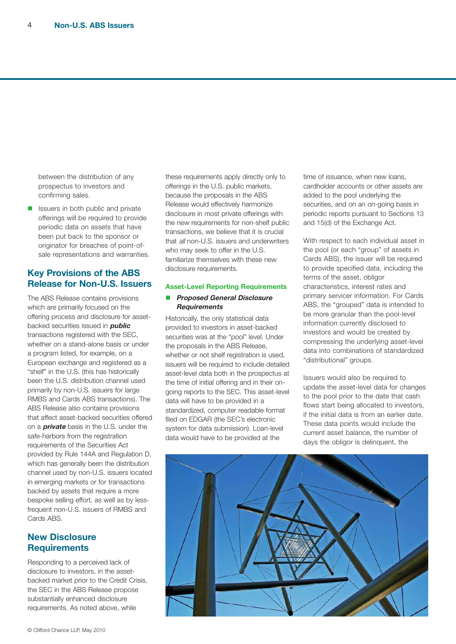between the distribution of any prospectus to investors and confirming sales.

 $\blacksquare$  Issuers in both public and private offerings will be required to provide periodic data on assets that have been put back to the sponsor or originator for breaches of point-ofsale representations and warranties.

# **Key Provisions of the ABS Release for Non-U.S. Issuers**

The ABS Release contains provisions which are primarily focused on the offering process and disclosure for assetbacked securities issued in **public** transactions registered with the SEC, whether on a stand-alone basis or under a program listed, for example, on a European exchange and registered as a "shelf" in the U.S. (this has historically been the U.S. distribution channel used primarily by non-U.S. issuers for large RMBS and Cards ABS transactions). The ABS Release also contains provisions that affect asset-backed securities offered on a **private** basis in the U.S. under the safe-harbors from the registration requirements of the Securities Act provided by Rule 144A and Regulation D, which has generally been the distribution channel used by non-U.S. issuers located in emerging markets or for transactions backed by assets that require a more bespoke selling effort, as well as by lessfrequent non-U.S. issuers of RMBS and Cards ABS.

# **New Disclosure Requirements**

Responding to a perceived lack of disclosure to investors, in the assetbacked market prior to the Credit Crisis, the SEC in the ABS Release propose substantially enhanced disclosure requirements. As noted above, while

these requirements apply directly only to offerings in the U.S. public markets, because the proposals in the ABS Release would effectively harmonize disclosure in most private offerings with the new requirements for non-shelf public transactions, we believe that it is crucial that *all* non-U.S. issuers and underwriters who may seek to offer in the U.S. familiarize themselves with these new disclosure requirements.

#### **Asset-Level Reporting Requirements**

#### n **Proposed General Disclosure Requirements**

Historically, the only statistical data provided to investors in asset-backed securities was at the "pool" level. Under the proposals in the ABS Release, whether or not shelf registration is used, issuers will be required to include detailed asset-level data both in the prospectus at the time of initial offering and in their ongoing reports to the SEC. This asset-level data will have to be provided in a standardized, computer readable format filed on EDGAR (the SEC's electronic system for data submission). Loan-level data would have to be provided at the

time of issuance, when new loans, cardholder accounts or other assets are added to the pool underlying the securities, and on an on-going basis in periodic reports pursuant to Sections 13 and 15(d) of the Exchange Act.

With respect to each individual asset in the pool (or each "group" of assets in Cards ABS), the issuer will be required to provide specified data, including the terms of the asset, obligor characteristics, interest rates and primary servicer information. For Cards ABS, the "grouped" data is intended to be more granular than the pool-level information currently disclosed to investors and would be created by compressing the underlying asset-level data into combinations of standardized "distributional" groups.

Issuers would also be required to update the asset-level data for changes to the pool prior to the date that cash flows start being allocated to investors, if the initial data is from an earlier date. These data points would include the current asset balance, the number of days the obligor is delinquent, the

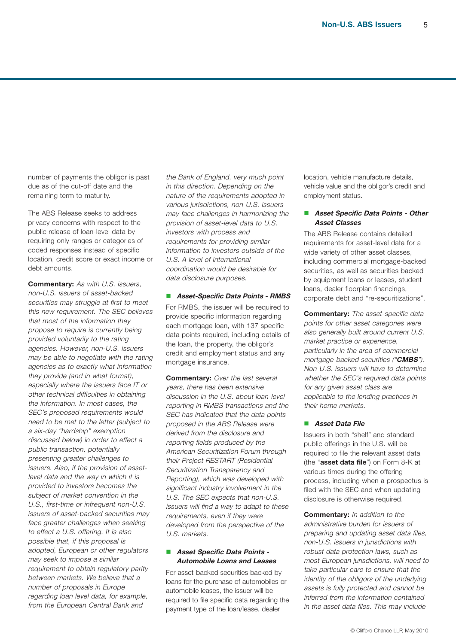number of payments the obligor is past due as of the cut-off date and the remaining term to maturity.

The ABS Release seeks to address privacy concerns with respect to the public release of loan-level data by requiring only ranges or categories of coded responses instead of specific location, credit score or exact income or debt amounts.

**Commentary:** As with U.S. issuers, non-U.S. issuers of asset-backed securities may struggle at first to meet this new requirement. The SEC believes that most of the information they propose to require is currently being provided voluntarily to the rating agencies. However, non-U.S. issuers may be able to negotiate with the rating agencies as to exactly what information they provide (and in what format), especially where the issuers face IT or other technical difficulties in obtaining the information. In most cases, the SEC's proposed requirements would need to be met to the letter (subject to <sup>a</sup> six-day "hardship" exemption discussed below) in order to effect <sup>a</sup> public transaction, potentially presenting greater challenges to issuers. Also, if the provision of assetlevel data and the way in which it is provided to investors becomes the subject of market convention in the U.S., first-time or infrequent non-U.S. issuers of asset-backed securities may face greater challenges when seeking to effect <sup>a</sup> U.S. offering. It is also possible that, if this proposal is adopted, European or other regulators may seek to impose <sup>a</sup> similar requirement to obtain regulatory parity between markets. We believe that a number of proposals in Europe regarding loan level data, for example, from the European Central Bank and

the Bank of England, very much point in this direction. Depending on the nature of the requirements adopted in various jurisdictions, non-U.S. issuers may face challenges in harmonizing the provision of asset-level data to U.S. investors with process and requirements for providing similar information to investors outside of the U.S. A level of international coordination would be desirable for data disclosure purposes.

#### n **Asset-Specific Data Points - RMBS**

For RMBS, the issuer will be required to provide specific information regarding each mortgage loan, with 137 specific data points required, including details of the loan, the property, the obligor's credit and employment status and any mortgage insurance.

**Commentary:** Over the last several years, there has been extensive discussion in the U.S. about loan-level reporting in RMBS transactions and the SEC has indicated that the data points proposed in the ABS Release were derived from the disclosure and reporting fields produced by the American Securitization Forum through their Project RESTART (Residential Securitization Transparency and Reporting), which was developed with significant industry involvement in the U.S. The SEC expects that non-U.S. issuers will find <sup>a</sup> way to adapt to these requirements, even if they were developed from the perspective of the U.S. markets.

#### n **Asset Specific Data Points - Automobile Loans and Leases**

For asset-backed securities backed by loans for the purchase of automobiles or automobile leases, the issuer will be required to file specific data regarding the payment type of the loan/lease, dealer

location, vehicle manufacture details, vehicle value and the obligor's credit and employment status.

#### n **Asset Specific Data Points - Other Asset Classes**

The ABS Release contains detailed requirements for asset-level data for a wide variety of other asset classes, including commercial mortgage-backed securities, as well as securities backed by equipment loans or leases, student loans, dealer floorplan financings, corporate debt and "re-securitizations".

**Commentary:** The asset-specific data points for other asset categories were also generally built around current U.S. market practice or experience, particularly in the area of commercial mortgage-backed securities ("**CMBS**"). Non-U.S. issuers will have to determine whether the SEC's required data points for any given asset class are applicable to the lending practices in their home markets.

#### n **Asset Data File**

Issuers in both "shelf" and standard public offerings in the U.S. will be required to file the relevant asset data (the "**asset data file**") on Form 8-K at various times during the offering process, including when a prospectus is filed with the SEC and when updating disclosure is otherwise required.

**Commentary:** In addition to the administrative burden for issuers of preparing and updating asset data files, non-U.S. issuers in jurisdictions with robust data protection laws, such as most European jurisdictions, will need to take particular care to ensure that the identity of the obligors of the underlying assets is fully protected and cannot be inferred from the information contained in the asset data files. This may include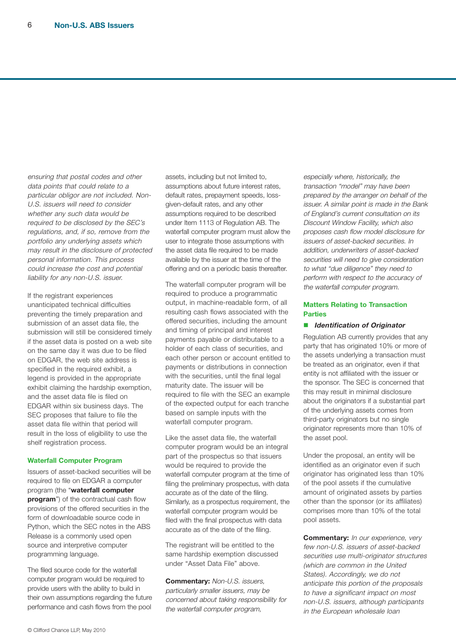ensuring that postal codes and other data points that could relate to <sup>a</sup> particular obligor are not included. Non-U.S. issuers will need to consider whether any such data would be required to be disclosed by the SEC's regulations, and, if so, remove from the portfolio any underlying assets which may result in the disclosure of protected personal information. This process could increase the cost and potential liability for any non-U.S. issuer.

If the registrant experiences unanticipated technical difficulties preventing the timely preparation and submission of an asset data file, the submission will still be considered timely if the asset data is posted on a web site on the same day it was due to be filed on EDGAR, the web site address is specified in the required exhibit, a legend is provided in the appropriate exhibit claiming the hardship exemption, and the asset data file is filed on EDGAR within six business days. The SEC proposes that failure to file the asset data file within that period will result in the loss of eligibility to use the shelf registration process.

#### **Waterfall Computer Program**

Issuers of asset-backed securities will be required to file on EDGAR a computer program (the "**waterfall computer program**") of the contractual cash flow provisions of the offered securities in the form of downloadable source code in Python, which the SEC notes in the ABS Release is a commonly used open source and interpretive computer programming language.

The filed source code for the waterfall computer program would be required to provide users with the ability to build in their own assumptions regarding the future performance and cash flows from the pool

assets, including but not limited to, assumptions about future interest rates, default rates, prepayment speeds, lossgiven-default rates, and any other assumptions required to be described under Item 1113 of Regulation AB. The waterfall computer program must allow the user to integrate those assumptions with the asset data file required to be made available by the issuer at the time of the offering and on a periodic basis thereafter.

The waterfall computer program will be required to produce a programmatic output, in machine-readable form, of all resulting cash flows associated with the offered securities, including the amount and timing of principal and interest payments payable or distributable to a holder of each class of securities, and each other person or account entitled to payments or distributions in connection with the securities, until the final legal maturity date. The issuer will be required to file with the SEC an example of the expected output for each tranche based on sample inputs with the waterfall computer program.

Like the asset data file, the waterfall computer program would be an integral part of the prospectus so that issuers would be required to provide the waterfall computer program at the time of filing the preliminary prospectus, with data accurate as of the date of the filing. Similarly, as a prospectus requirement, the waterfall computer program would be filed with the final prospectus with data accurate as of the date of the filing.

The registrant will be entitled to the same hardship exemption discussed under "Asset Data File" above.

**Commentary:** Non-U.S. issuers, particularly smaller issuers, may be concerned about taking responsibility for the waterfall computer program,

especially where, historically, the transaction "model" may have been prepared by the arranger on behalf of the issuer. A similar point is made in the Bank of England's current consultation on its Discount Window Facility, which also proposes cash flow model disclosure for issuers of asset-backed securities. In addition, underwriters of asset-backed securities will need to give consideration to what "due diligence" they need to perform with respect to the accuracy of the waterfall computer program.

#### **Matters Relating to Transaction Parties**

#### ■ *Identification of Originator*

Regulation AB currently provides that any party that has originated 10% or more of the assets underlying a transaction must be treated as an originator, even if that entity is not affiliated with the issuer or the sponsor. The SEC is concerned that this may result in minimal disclosure about the originators if a substantial part of the underlying assets comes from third-party originators but no single originator represents more than 10% of the asset pool.

Under the proposal, an entity will be identified as an originator even if such originator has originated less than 10% of the pool assets if the cumulative amount of originated assets by parties other than the sponsor (or its affiliates) comprises more than 10% of the total pool assets.

**Commentary:** In our experience, very few non-U.S. issuers of asset-backed securities use multi-originator structures (which are common in the United States). Accordingly, we do not anticipate this portion of the proposals to have <sup>a</sup> significant impact on most non-U.S. issuers, although participants in the European wholesale loan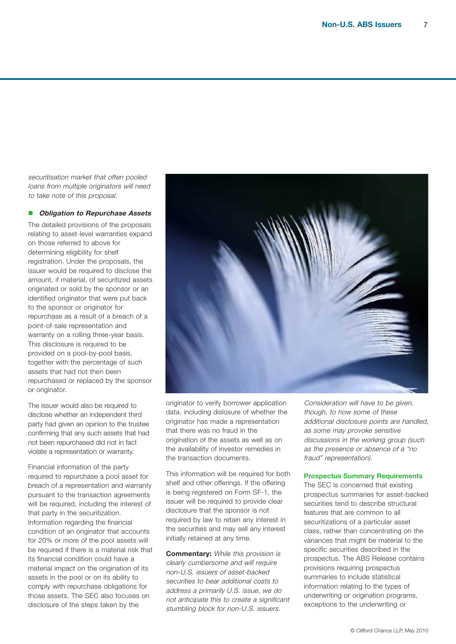securitisation market that often pooled loans from multiple originators will need to take note of this proposal.

#### n **Obligation to Repurchase Assets**

The detailed provisions of the proposals relating to asset-level warranties expand on those referred to above for determining eligibility for shelf registration. Under the proposals, the issuer would be required to disclose the amount, if material, of securitized assets originated or sold by the sponsor or an identified originator that were put back to the sponsor or originator for repurchase as a result of a breach of a point-of-sale representation and warranty on a rolling three-year basis. This disclosure is required to be provided on a pool-by-pool basis, together with the percentage of such assets that had not then been repurchased or replaced by the sponsor or originator.

The issuer would also be required to disclose whether an independent third party had given an opinion to the trustee confirming that any such assets that had not been repurchased did not in fact violate a representation or warranty.

Financial information of the party required to repurchase a pool asset for breach of a representation and warranty pursuant to the transaction agreements will be required, including the interest of that party in the securitization. Information regarding the financial condition of an originator that accounts for 20% or more of the pool assets will be required if there is a material risk that its financial condition could have a material impact on the origination of its assets in the pool or on its ability to comply with repurchase obligations for those assets. The SEC also focuses on disclosure of the steps taken by the



originator to verify borrower application data, including dislosure of whether the originator has made a representation that there was no fraud in the origination of the assets as well as on the availability of investor remedies in the transaction documents.

This information will be required for both shelf and other offerings. If the offering is being registered on Form SF-1, the issuer will be required to provide clear disclosure that the sponsor is not required by law to retain any interest in the securities and may sell any interest initially retained at any time.

**Commentary:** While this provision is clearly cumbersome and will require non-U.S. issuers of asset-backed securities to bear additional costs to address <sup>a</sup> primarily U.S. issue, we do not anticipate this to create <sup>a</sup> significant stumbling block for non-U.S. issuers.

Consideration will have to be given, though, to how some of these additional disclosure points are handled, as some may provoke sensitive discussions in the working group (such as the presence or absence of <sup>a</sup> "no fraud" representation).

#### **Prospectus Summary Requirements**

The SEC is concerned that existing prospectus summaries for asset-backed securities tend to describe structural features that are common to all securitizations of a particular asset class, rather than concentrating on the variances that might be material to the specific securities described in the prospectus. The ABS Release contains provisions requiring prospectus summaries to include statistical information relating to the types of underwriting or origination programs, exceptions to the underwriting or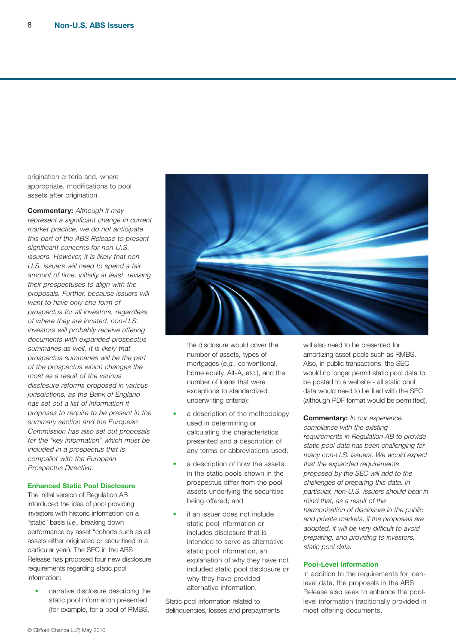origination criteria and, where appropriate, modifications to pool assets after origination.

**Commentary:** Although it may represent <sup>a</sup> significant change in current market practice, we do not anticipate this part of the ABS Release to present significant concerns for non-U.S. issuers. However, it is likely that non-U.S. issuers will need to spend <sup>a</sup> fair amount of time, initially at least, revising their prospectuses to align with the proposals. Further, because issuers will want to have only one form of prospectus for all investors, regardless of where they are located, non-U.S. investors will probably receive offering documents with expanded prospectus summaries as well. It is likely that prospectus summaries will be the part of the prospectus which changes the most as a result of the various disclosure reforms proposed in various jurisdictions, as the Bank of England has set out a list of information it proposes to require to be present in the summary section and the European Commission has also set out proposals for the "key information" which must be included in <sup>a</sup> prospectus that is compalint with the European Prospectus Directive.

## **Enhanced Static Pool Disclosure**

The initial version of Regulation AB intorduced the idea of pool providing investors with historic information on a "static" basis (i.e., breaking down performance by asset "cohorts such as all assets either originated or securitised in a particular year). The SEC in the ABS Release has proposed four new disclosure requirements regarding static pool information:

• narrative disclosure describing the static pool information presented (for example, for a pool of RMBS,



the disclosure would cover the number of assets, types of mortgages (e.g., conventional, home equity, Alt-A, etc.), and the number of loans that were exceptions to standardized underwriting criteria);

- a description of the methodology used in determining or calculating the characteristics presented and a description of any terms or abbreviations used;
- a description of how the assets in the static pools shown in the prospectus differ from the pool assets underlying the securities being offered; and
- if an issuer does not include static pool information or includes disclosure that is intended to serve as alternative static pool information, an explanation of why they have not included static pool disclosure or why they have provided alternative information.

Static pool information related to delinquencies, losses and prepayments will also need to be presented for amortizing asset pools such as RMBS. Also, in public transactions, the SEC would no longer permit static pool data to be posted to a website - all static pool data would need to be filed with the SEC (although PDF format would be permitted).

**Commentary:** In our experience, compliance with the existing requirements in Regulation AB to provide static pool data has been challenging for many non-U.S. issuers. We would expect that the expanded requirements proposed by the SEC will add to the challenges of preparing this data. In particular, non-U.S. issuers should bear in mind that, as <sup>a</sup> result of the harmonization of disclosure in the public and private markets, if the proposals are adopted, it will be very difficult to avoid preparing, and providing to investors, static pool data.

#### **Pool-Level Information**

In addition to the requirements for loanlevel data, the proposals in the ABS Release also seek to enhance the poollevel information traditionally provided in most offering documents.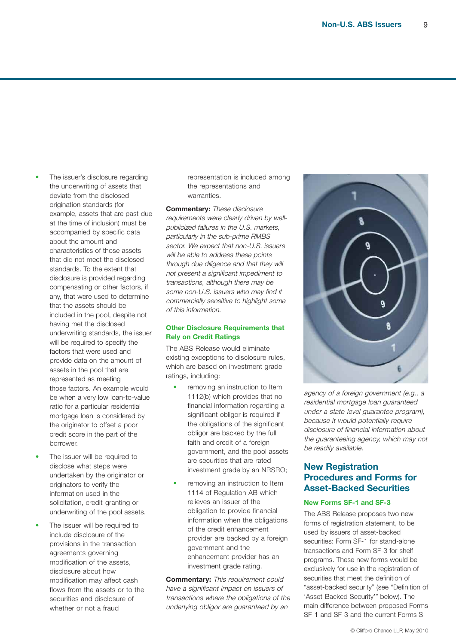- The issuer's disclosure regarding the underwriting of assets that deviate from the disclosed origination standards (for example, assets that are past due at the time of inclusion) must be accompanied by specific data about the amount and characteristics of those assets that did not meet the disclosed standards. To the extent that disclosure is provided regarding compensating or other factors, if any, that were used to determine that the assets should be included in the pool, despite not having met the disclosed underwriting standards, the issuer will be required to specify the factors that were used and provide data on the amount of assets in the pool that are represented as meeting those factors. An example would be when a very low loan-to-value ratio for a particular residential mortgage loan is considered by the originator to offset a poor credit score in the part of the borrower.
- The issuer will be required to disclose what steps were undertaken by the originator or originators to verify the information used in the solicitation, credit-granting or underwriting of the pool assets.
- The issuer will be required to include disclosure of the provisions in the transaction agreements governing modification of the assets, disclosure about how modification may affect cash flows from the assets or to the securities and disclosure of whether or not a fraud

representation is included among the representations and warranties.

**Commentary:** These disclosure requirements were clearly driven by wellpublicized failures in the U.S. markets, particularly in the sub-prime RMBS sector. We expect that non-U.S. issuers will be able to address these points through due diligence and that they will not present <sup>a</sup> significant impediment to transactions, although there may be some non-U.S. issuers who may find it commercially sensitive to highlight some of this information.

#### **Other Disclosure Requirements that Rely on Credit Ratings**

The ABS Release would eliminate existing exceptions to disclosure rules, which are based on investment grade ratings, including:

- removing an instruction to Item 1112(b) which provides that no financial information regarding a significant obligor is required if the obligations of the significant obligor are backed by the full faith and credit of a foreign government, and the pool assets are securities that are rated investment grade by an NRSRO;
- removing an instruction to Item 1114 of Regulation AB which relieves an issuer of the obligation to provide financial information when the obligations of the credit enhancement provider are backed by a foreign government and the enhancement provider has an investment grade rating.

**Commentary:** This requirement could have <sup>a</sup> significant impact on issuers of transactions where the obligations of the underlying obligor are guaranteed by an



agency of <sup>a</sup> foreign government (e.g., <sup>a</sup> residential mortgage loan guaranteed under <sup>a</sup> state-level guarantee program), because it would potentially require disclosure of financial information about the guaranteeing agency, which may not be readily available.

# **New Registration Procedures and Forms for Asset-Backed Securities**

#### **New Forms SF-1 and SF-3**

The ABS Release proposes two new forms of registration statement, to be used by issuers of asset-backed securities: Form SF-1 for stand-alone transactions and Form SF-3 for shelf programs. These new forms would be exclusively for use in the registration of securities that meet the definition of "asset-backed security" (see "Definition of 'Asset-Backed Security'" below). The main difference between proposed Forms SF-1 and SF-3 and the current Forms S-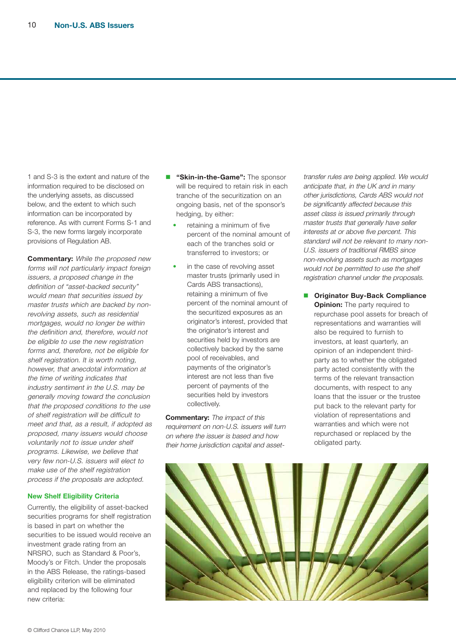1 and S-3 is the extent and nature of the information required to be disclosed on the underlying assets, as discussed below, and the extent to which such information can be incorporated by reference. As with current Forms S-1 and S-3, the new forms largely incorporate provisions of Regulation AB.

**Commentary:** While the proposed new forms will not particularly impact foreign issuers, <sup>a</sup> proposed change in the definition of "asset-backed security" would mean that securities issued by master trusts which are backed by nonrevolving assets, such as residential mortgages, would no longer be within the definition and, therefore, would not be eligible to use the new registration forms and, therefore, not be eligible for shelf registration. It is worth noting, however, that anecdotal information at the time of writing indicates that industry sentiment in the U.S. may be generally moving toward the conclusion that the proposed conditions to the use of shelf registration will be difficult to meet and that, as <sup>a</sup> result, if adopted as proposed, many issuers would choose voluntarily not to issue under shelf programs. Likewise, we believe that very few non-U.S. issuers will elect to make use of the shelf registration process if the proposals are adopted.

#### **New Shelf Eligibility Criteria**

Currently, the eligibility of asset-backed securities programs for shelf registration is based in part on whether the securities to be issued would receive an investment grade rating from an NRSRO, such as Standard & Poor's, Moody's or Fitch. Under the proposals in the ABS Release, the ratings-based eligibility criterion will be eliminated and replaced by the following four new criteria:

- **n** "Skin-in-the-Game": The sponsor will be required to retain risk in each tranche of the securitization on an ongoing basis, net of the sponsor's hedging, by either:
	- retaining a minimum of five percent of the nominal amount of each of the tranches sold or transferred to investors; or
	- in the case of revolving asset master trusts (primarily used in Cards ABS transactions), retaining a minimum of five percent of the nominal amount of the securitized exposures as an originator's interest, provided that the originator's interest and securities held by investors are collectively backed by the same pool of receivables, and payments of the originator's interest are not less than five percent of payments of the securities held by investors collectively.

**Commentary:** The impact of this requirement on non-U.S. issuers will turn on where the issuer is based and how their home jurisdiction capital and assettransfer rules are being applied. We would anticipate that, in the UK and in many other jurisdictions, Cards ABS would not be significantly affected because this asset class is issued primarily through master trusts that generally have seller interests at or above five percent. This standard will not be relevant to many non-U.S. issuers of traditional RMBS since non-revolving assets such as mortgages would not be permitted to use the shelf registration channel under the proposals.

■ **Originator Buy-Back Compliance Opinion:** The party required to repurchase pool assets for breach of representations and warranties will also be required to furnish to investors, at least quarterly, an opinion of an independent thirdparty as to whether the obligated party acted consistently with the terms of the relevant transaction documents, with respect to any loans that the issuer or the trustee put back to the relevant party for violation of representations and warranties and which were not repurchased or replaced by the obligated party.

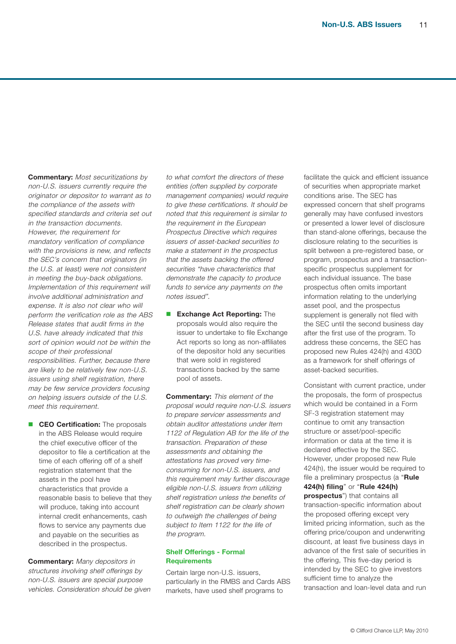**Commentary:** Most securitizations by non-U.S. issuers currently require the originator or depositor to warrant as to the compliance of the assets with specified standards and criteria set out in the transaction documents. However, the requirement for mandatory verification of compliance with the provisions is new, and reflects the SEC's concern that originators (in the U.S. at least) were not consistent in meeting the buy-back obligations. Implementation of this requirement will involve additional administration and expense. It is also not clear who will perform the verification role as the ABS Release states that audit firms in the U.S. have already indicated that this sort of opinion would not be within the scope of their professional responsibilities. Further, because there are likely to be relatively few non-U.S. issuers using shelf registration, there may be few service providers focusing on helping issuers outside of the U.S. meet this requirement.

**n CEO** Certification: The proposals in the ABS Release would require the chief executive officer of the depositor to file a certification at the time of each offering off of a shelf registration statement that the assets in the pool have characteristics that provide a reasonable basis to believe that they will produce, taking into account internal credit enhancements, cash flows to service any payments due and payable on the securities as described in the prospectus.

**Commentary:** Many depositors in structures involving shelf offerings by non-U.S. issuers are special purpose vehicles. Consideration should be given

to what comfort the directors of these entities (often supplied by corporate management companies) would require to give these certifications. It should be noted that this requirement is similar to the requirement in the European Prospectus Directive which requires issuers of asset-backed securities to make <sup>a</sup> statement in the prospectus that the assets backing the offered securities "have characteristics that demonstrate the capacity to produce funds to service any payments on the notes issued".

**n** Exchange Act Reporting: The proposals would also require the issuer to undertake to file Exchange Act reports so long as non-affiliates of the depositor hold any securities that were sold in registered transactions backed by the same pool of assets.

**Commentary:** This element of the proposal would require non-U.S. issuers to prepare servicer assessments and obtain auditor attestations under Item 1122 of Regulation AB for the life of the transaction. Preparation of these assessments and obtaining the attestations has proved very timeconsuming for non-U.S. issuers, and this requirement may further discourage eligible non-U.S. issuers from utilizing shelf registration unless the benefits of shelf registration can be clearly shown to outweigh the challenges of being subject to Item 1122 for the life of the program.

#### **Shelf Offerings - Formal Requirements**

Certain large non-U.S. issuers, particularly in the RMBS and Cards ABS markets, have used shelf programs to

facilitate the quick and efficient issuance of securities when appropriate market conditions arise. The SEC has expressed concern that shelf programs generally may have confused investors or presented a lower level of disclosure than stand-alone offerings, because the disclosure relating to the securities is split between a pre-registered base, or program, prospectus and a transactionspecific prospectus supplement for each individual issuance. The base prospectus often omits important information relating to the underlying asset pool, and the prospectus supplement is generally not filed with the SEC until the second business day after the first use of the program. To address these concerns, the SEC has proposed new Rules 424(h) and 430D as a framework for shelf offerings of asset-backed securities.

Consistant with current practice, under the proposals, the form of prospectus which would be contained in a Form SF-3 registration statement may continue to omit any transaction structure or asset/pool-specific information or data at the time it is declared effective by the SEC. However, under proposed new Rule 424(h), the issuer would be required to file a preliminary prospectus (a "**Rule 424(h) filing**" or "**Rule 424(h) prospectus**") that contains all transaction-specific information about the proposed offering except very limited pricing information, such as the offering price/coupon and underwriting discount, at least five business days in advance of the first sale of securities in the offering, This five-day period is intended by the SEC to give investors sufficient time to analyze the transaction and loan-level data and run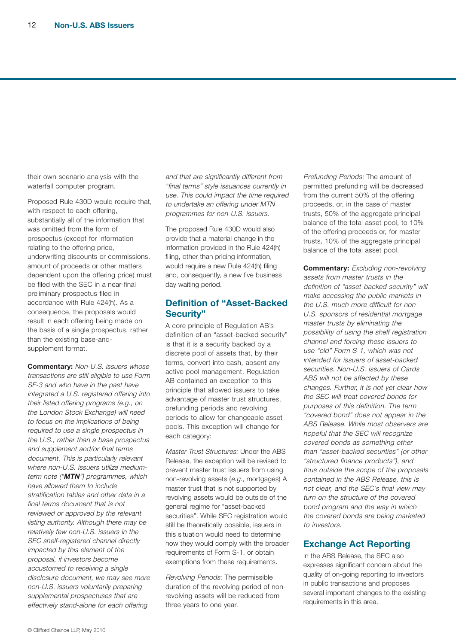their own scenario analysis with the waterfall computer program.

Proposed Rule 430D would require that, with respect to each offering, substantially all of the information that was omitted from the form of prospectus (except for information relating to the offering price, underwriting discounts or commissions, amount of proceeds or other matters dependent upon the offering price) must be filed with the SEC in a near-final preliminary prospectus filed in accordance with Rule 424(h). As a consequence, the proposals would result in each offering being made on the basis of a single prospectus, rather than the existing base-andsupplement format.

**Commentary:** Non-U.S. issuers whose transactions are still eligible to use Form SF-3 and who have in the past have integrated <sup>a</sup> U.S. registered offering into their listed offering programs (e.g., on the London Stock Exchange) will need to focus on the implications of being required to use <sup>a</sup> single prospectus in the U.S., rather than <sup>a</sup> base prospectus and supplement and/or final terms document. This is particularly relevant where non-U.S. issuers utilize mediumterm note ("**MTN**") programmes, which have allowed them to include stratification tables and other data in a final terms document that is not reviewed or approved by the relevant listing authority. Although there may be relatively few non-U.S. issuers in the SEC shelf-registered channel directly impacted by this element of the proposal, if investors become accustomed to receiving <sup>a</sup> single disclosure document, we may see more non-U.S. issuers voluntarily preparing supplemental prospectuses that are effectively stand-alone for each offering

and that are significantly different from "final terms" style issuances currently in use. This could impact the time required to undertake an offering under MTN programmes for non-U.S. issuers.

The proposed Rule 430D would also provide that a material change in the information provided in the Rule 424(h) filing, other than pricing information, would require a new Rule 424(h) filing and, consequently, a new five business day waiting period.

# **Definition of "Asset-Backed Security"**

A core principle of Regulation AB's definition of an "asset-backed security" is that it is a security backed by a discrete pool of assets that, by their terms, convert into cash, absent any active pool management. Regulation AB contained an exception to this principle that allowed issuers to take advantage of master trust structures, prefunding periods and revolving periods to allow for changeable asset pools. This exception will change for each category:

Master Trust Structures: Under the ABS Release, the exception will be revised to prevent master trust issuers from using non-revolving assets (e.g., mortgages) A master trust that is not supported by revolving assets would be outside of the general regime for "asset-backed securities". While SEC registration would still be theoretically possible, issuers in this situation would need to determine how they would comply with the broader requirements of Form S-1, or obtain exemptions from these requirements.

Revolving Periods: The permissible duration of the revolving period of nonrevolving assets will be reduced from three years to one year.

Prefunding Periods: The amount of permitted prefunding will be decreased from the current 50% of the offering proceeds, or, in the case of master trusts, 50% of the aggregate principal balance of the total asset pool, to 10% of the offering proceeds or, for master trusts, 10% of the aggregate principal balance of the total asset pool.

**Commentary:** Excluding non-revolving assets from master trusts in the definition of "asset-backed security" will make accessing the public markets in the U.S. much more difficult for non-U.S. sponsors of residential mortgage master trusts by eliminating the possibility of using the shelf registration channel and forcing these issuers to use "old" Form S-1, which was not intended for issuers of asset-backed securities. Non-U.S. issuers of Cards ABS will not be affected by these changes. Further, it is not yet clear how the SEC will treat covered bonds for purposes of this definition. The term "covered bond" does not appear in the ABS Release. While most observers are hopeful that the SEC will recognize covered bonds as something other than "asset-backed securities" (or other "structured finance products"), and thus outside the scope of the proposals contained in the ABS Release, this is not clear, and the SEC's final view may turn on the structure of the covered bond program and the way in which the covered bonds are being marketed to *investors* 

# **Exchange Act Reporting**

In the ABS Release, the SEC also expresses significant concern about the quality of on-going reporting to investors in public transactions and proposes several important changes to the existing requirements in this area.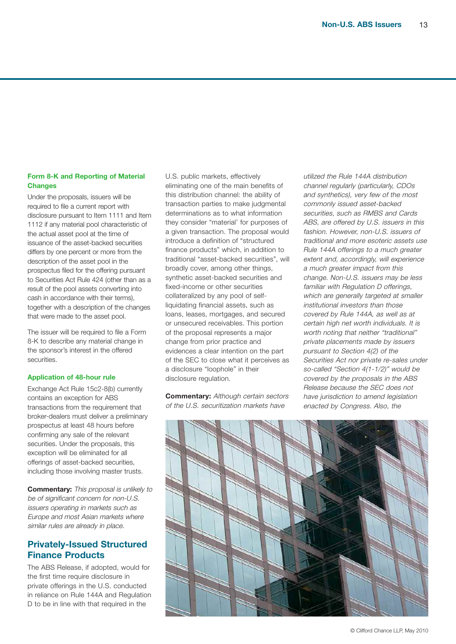#### **Form 8-K and Reporting of Material Changes**

Under the proposals, issuers will be required to file a current report with disclosure pursuant to Item 1111 and Item 1112 if any material pool characteristic of the actual asset pool at the time of issuance of the asset-backed securities differs by one percent or more from the description of the asset pool in the prospectus filed for the offering pursuant to Securities Act Rule 424 (other than as a result of the pool assets converting into cash in accordance with their terms), together with a description of the changes that were made to the asset pool.

The issuer will be required to file a Form 8-K to describe any material change in the sponsor's interest in the offered securities.

#### **Application of 48-hour rule**

Exchange Act Rule 15c2-8(b) currently contains an exception for ABS transactions from the requirement that broker-dealers must deliver a preliminary prospectus at least 48 hours before confirming any sale of the relevant securities. Under the proposals, this exception will be eliminated for all offerings of asset-backed securities, including those involving master trusts.

**Commentary:** This proposal is unlikely to be of significant concern for non-U.S. issuers operating in markets such as Europe and most Asian markets where similar rules are already in place.

# **Privately-Issued Structured Finance Products**

The ABS Release, if adopted, would for the first time require disclosure in private offerings in the U.S. conducted in reliance on Rule 144A and Regulation D to be in line with that required in the

U.S. public markets, effectively eliminating one of the main benefits of this distribution channel: the ability of transaction parties to make judgmental determinations as to what information they consider "material' for purposes of a given transaction. The proposal would introduce a definition of "structured finance products" which, in addition to traditional "asset-backed securities", will broadly cover, among other things, synthetic asset-backed securities and fixed-income or other securities collateralized by any pool of selfliquidating financial assets, such as loans, leases, mortgages, and secured or unsecured receivables. This portion of the proposal represents a major change from prior practice and evidences a clear intention on the part of the SEC to close what it perceives as a disclosure "loophole" in their disclosure regulation.

**Commentary:** Although certain sectors of the U.S. securitization markets have

utilized the Rule 144A distribution channel regularly (particularly, CDOs and synthetics), very few of the most commonly issued asset-backed securities, such as RMBS and Cards ABS, are offered by U.S. issuers in this fashion. However, non-U.S. issuers of traditional and more esoteric assets use Rule 144A offerings to <sup>a</sup> much greater extent and, accordingly, will experience <sup>a</sup> much greater impact from this change. Non-U.S. issuers may be less familiar with Regulation D offerings, which are generally targeted at smaller institutional investors than those covered by Rule 144A, as well as at certain high net worth individuals. It is worth noting that neither "traditional" private placements made by issuers pursuant to Section 4(2) of the Securities Act nor private re-sales under so-called "Section 4(1-1/2)" would be covered by the proposals in the ABS Release because the SEC does not have jurisdiction to amend legislation enacted by Congress. Also, the

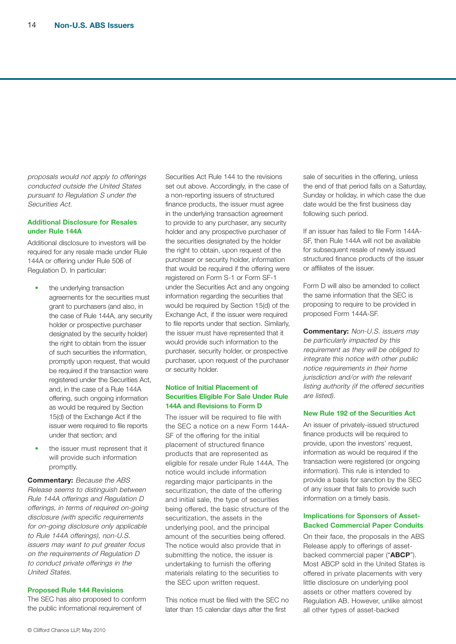proposals would not apply to offerings conducted outside the United States pursuant to Regulation S under the Securities Act.

#### **Additional Disclosure for Resales under Rule 144A**

Additional disclosure to investors will be required for any resale made under Rule 144A or offering under Rule 506 of Regulation D. In particular:

- the underlying transaction agreements for the securities must grant to purchasers (and also, in the case of Rule 144A, any security holder or prospective purchaser designated by the security holder) the right to obtain from the issuer of such securities the information, promptly upon request, that would be required if the transaction were registered under the Securities Act, and, in the case of a Rule 144A offering, such ongoing information as would be required by Section 15(d) of the Exchange Act if the issuer were required to file reports under that section; and
- the issuer must represent that it will provide such information promptly.

**Commentary:** Because the ABS Release seems to distinguish between Rule 144A offerings and Regulation D offerings, in terms of required on-going disclosure (with specific requirements for on-going disclosure only applicable to Rule 144A offerings), non-U.S. issuers may want to put greater focus on the requirements of Regulation D to conduct private offerings in the United States.

#### **Proposed Rule 144 Revisions**

The SEC has also proposed to conform the public informational requirement of

Securities Act Rule 144 to the revisions set out above. Accordingly, in the case of a non-reporting issuers of structured finance products, the issuer must agree in the underlying transaction agreement to provide to any purchaser, any security holder and any prospective purchaser of the securities designated by the holder the right to obtain, upon request of the purchaser or security holder, information that would be required if the offering were registered on Form S-1 or Form SF-1 under the Securities Act and any ongoing information regarding the securities that would be required by Section 15(d) of the Exchange Act, if the issuer were required to file reports under that section. Similarly, the issuer must have represented that it would provide such information to the purchaser, security holder, or prospective purchaser, upon request of the purchaser or security holder.

#### **Notice of Initial Placement of Securities Eligible For Sale Under Rule 144A and Revisions to Form D**

The issuer will be required to file with the SEC a notice on a new Form 144A-SF of the offering for the initial placement of structured finance products that are represented as eligible for resale under Rule 144A. The notice would include information regarding major participants in the securitization, the date of the offering and initial sale, the type of securities being offered, the basic structure of the securitization, the assets in the underlying pool, and the principal amount of the securities being offered. The notice would also provide that in submitting the notice, the issuer is undertaking to furnish the offering materials relating to the securities to the SEC upon written request.

This notice must be filed with the SEC no later than 15 calendar days after the first

sale of securities in the offering, unless the end of that period falls on a Saturday, Sunday or holiday, in which case the due date would be the first business day following such period.

If an issuer has failed to file Form 144A-SF, then Rule 144A will not be available for subsequent resale of newly issued structured finance products of the issuer or affiliates of the issuer.

Form D will also be amended to collect the same information that the SEC is proposing to require to be provided in proposed Form 144A-SF.

**Commentary:** Non-U.S. issuers may be particularly impacted by this requirement as they will be obliged to integrate this notice with other public notice requirements in their home jurisdiction and/or with the relevant listing authority (if the offered securities are listed).

#### **New Rule 192 of the Securities Act**

An issuer of privately-issued structured finance products will be required to provide, upon the investors' request, information as would be required if the transaction were registered (or ongoing information). This rule is intended to provide a basis for sanction by the SEC of any issuer that fails to provide such information on a timely basis.

#### **Implications for Sponsors of Asset-Backed Commercial Paper Conduits**

On their face, the proposals in the ABS Release apply to offerings of assetbacked commercial paper ("**ABCP**"). Most ABCP sold in the United States is offered in private placements with very little disclosure on underlying pool assets or other matters covered by Regulation AB. However, unlike almost all other types of asset-backed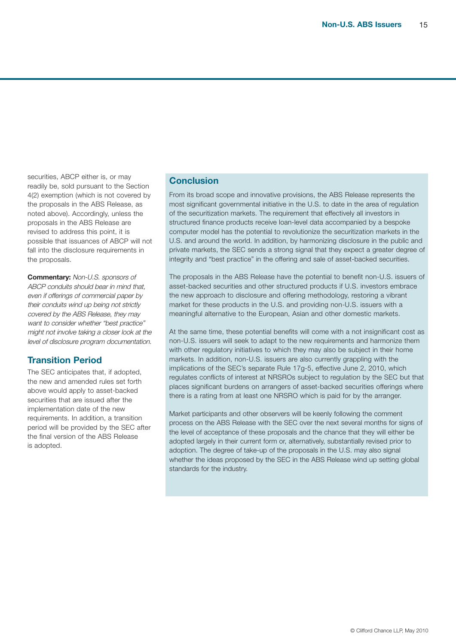securities, ABCP either is, or may readily be, sold pursuant to the Section 4(2) exemption (which is not covered by the proposals in the ABS Release, as noted above). Accordingly, unless the proposals in the ABS Release are revised to address this point, it is possible that issuances of ABCP will not fall into the disclosure requirements in the proposals.

**Commentary:** Non-U.S. sponsors of ABCP conduits should bear in mind that, even if offerings of commercial paper by their conduits wind up being not strictly covered by the ABS Release, they may want to consider whether "best practice" might not involve taking <sup>a</sup> closer look at the level of disclosure program documentation.

# **Transition Period**

The SEC anticipates that, if adopted, the new and amended rules set forth above would apply to asset-backed securities that are issued after the implementation date of the new requirements. In addition, a transition period will be provided by the SEC after the final version of the ABS Release is adopted.

# **Conclusion**

From its broad scope and innovative provisions, the ABS Release represents the most significant governmental initiative in the U.S. to date in the area of regulation of the securitization markets. The requirement that effectively all investors in structured finance products receive loan-level data accompanied by a bespoke computer model has the potential to revolutionize the securitization markets in the U.S. and around the world. In addition, by harmonizing disclosure in the public and private markets, the SEC sends a strong signal that they expect a greater degree of integrity and "best practice" in the offering and sale of asset-backed securities.

The proposals in the ABS Release have the potential to benefit non-U.S. issuers of asset-backed securities and other structured products if U.S. investors embrace the new approach to disclosure and offering methodology, restoring a vibrant market for these products in the U.S. and providing non-U.S. issuers with a meaningful alternative to the European, Asian and other domestic markets.

At the same time, these potential benefits will come with a not insignificant cost as non-U.S. issuers will seek to adapt to the new requirements and harmonize them with other regulatory initiatives to which they may also be subject in their home markets. In addition, non-U.S. issuers are also currently grappling with the implications of the SEC's separate Rule 17g-5, effective June 2, 2010, which regulates conflicts of interest at NRSROs subject to regulation by the SEC but that places significant burdens on arrangers of asset-backed securities offerings where there is a rating from at least one NRSRO which is paid for by the arranger.

Market participants and other observers will be keenly following the comment process on the ABS Release with the SEC over the next several months for signs of the level of acceptance of these proposals and the chance that they will either be adopted largely in their current form or, alternatively, substantially revised prior to adoption. The degree of take-up of the proposals in the U.S. may also signal whether the ideas proposed by the SEC in the ABS Release wind up setting global standards for the industry.